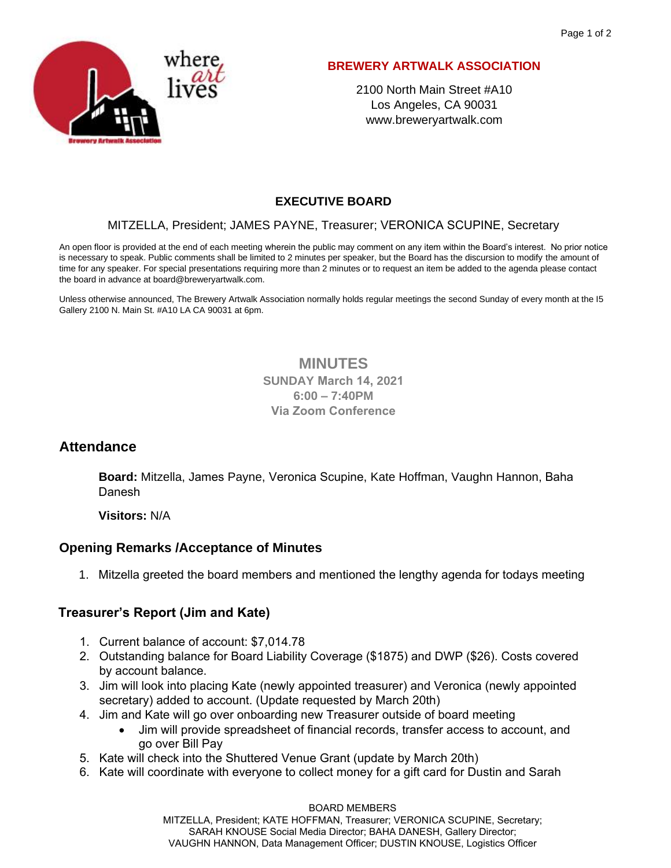

#### **BREWERY ARTWALK ASSOCIATION**

2100 North Main Street #A10 Los Angeles, CA 90031 www.breweryartwalk.com

# **EXECUTIVE BOARD**

#### MITZELLA, President; JAMES PAYNE, Treasurer; VERONICA SCUPINE, Secretary

An open floor is provided at the end of each meeting wherein the public may comment on any item within the Board's interest. No prior notice is necessary to speak. Public comments shall be limited to 2 minutes per speaker, but the Board has the discursion to modify the amount of time for any speaker. For special presentations requiring more than 2 minutes or to request an item be added to the agenda please contact the board in advance at board@breweryartwalk.com.

Unless otherwise announced, The Brewery Artwalk Association normally holds regular meetings the second Sunday of every month at the I5 Gallery 2100 N. Main St. #A10 LA CA 90031 at 6pm.

### **MINUTES SUNDAY March 14, 2021 6:00 – 7:40PM Via Zoom Conference**

## **Attendance**

**Board:** Mitzella, James Payne, Veronica Scupine, Kate Hoffman, Vaughn Hannon, Baha Danesh

**Visitors:** N/A

## **Opening Remarks /Acceptance of Minutes**

1. Mitzella greeted the board members and mentioned the lengthy agenda for todays meeting

### **Treasurer's Report (Jim and Kate)**

- 1. Current balance of account: \$7,014.78
- 2. Outstanding balance for Board Liability Coverage (\$1875) and DWP (\$26). Costs covered by account balance.
- 3. Jim will look into placing Kate (newly appointed treasurer) and Veronica (newly appointed secretary) added to account. (Update requested by March 20th)
- 4. Jim and Kate will go over onboarding new Treasurer outside of board meeting
	- Jim will provide spreadsheet of financial records, transfer access to account, and go over Bill Pay
- 5. Kate will check into the Shuttered Venue Grant (update by March 20th)
- 6. Kate will coordinate with everyone to collect money for a gift card for Dustin and Sarah

BOARD MEMBERS MITZELLA, President; KATE HOFFMAN, Treasurer; VERONICA SCUPINE, Secretary; SARAH KNOUSE Social Media Director; BAHA DANESH, Gallery Director; VAUGHN HANNON, Data Management Officer; DUSTIN KNOUSE, Logistics Officer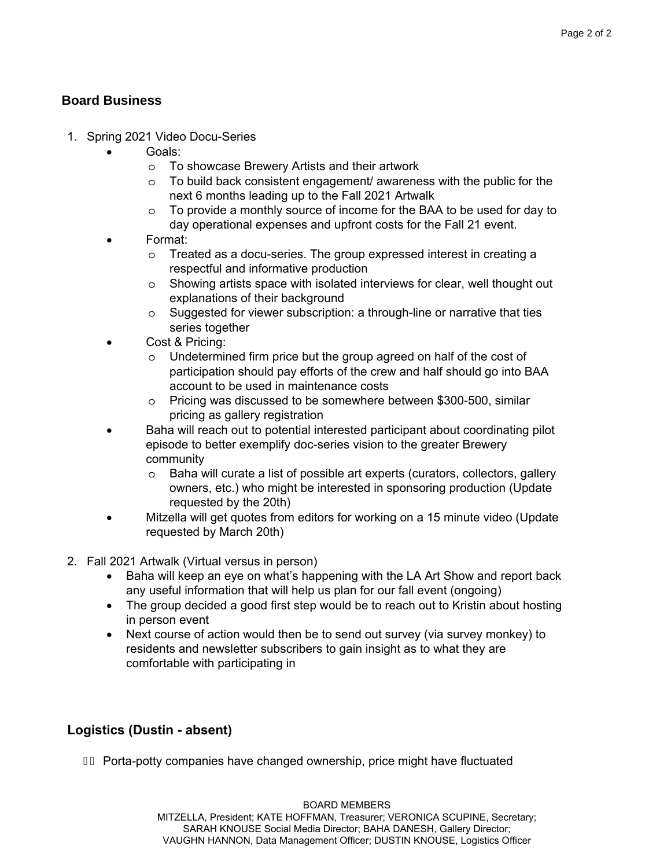### **Board Business**

- 1. Spring 2021 Video Docu-Series
	- Goals:
		- o To showcase Brewery Artists and their artwork
		- o To build back consistent engagement/ awareness with the public for the next 6 months leading up to the Fall 2021 Artwalk
		- o To provide a monthly source of income for the BAA to be used for day to day operational expenses and upfront costs for the Fall 21 event.
	- Format:
		- o Treated as a docu-series. The group expressed interest in creating a respectful and informative production
		- o Showing artists space with isolated interviews for clear, well thought out explanations of their background
		- o Suggested for viewer subscription: a through-line or narrative that ties series together
	- Cost & Pricing:
		- o Undetermined firm price but the group agreed on half of the cost of participation should pay efforts of the crew and half should go into BAA account to be used in maintenance costs
		- o Pricing was discussed to be somewhere between \$300-500, similar pricing as gallery registration
	- Baha will reach out to potential interested participant about coordinating pilot episode to better exemplify doc-series vision to the greater Brewery community
		- o Baha will curate a list of possible art experts (curators, collectors, gallery owners, etc.) who might be interested in sponsoring production (Update requested by the 20th)
	- Mitzella will get quotes from editors for working on a 15 minute video (Update requested by March 20th)
- 2. Fall 2021 Artwalk (Virtual versus in person)
	- Baha will keep an eye on what's happening with the LA Art Show and report back any useful information that will help us plan for our fall event (ongoing)
	- The group decided a good first step would be to reach out to Kristin about hosting in person event
	- Next course of action would then be to send out survey (via survey monkey) to residents and newsletter subscribers to gain insight as to what they are comfortable with participating in

## **Logistics (Dustin - absent)**

FE Porta-potty companies have changed ownership, price might have fluctuated

BOARD MEMBERS MITZELLA, President; KATE HOFFMAN, Treasurer; VERONICA SCUPINE, Secretary; SARAH KNOUSE Social Media Director; BAHA DANESH, Gallery Director; VAUGHN HANNON, Data Management Officer; DUSTIN KNOUSE, Logistics Officer